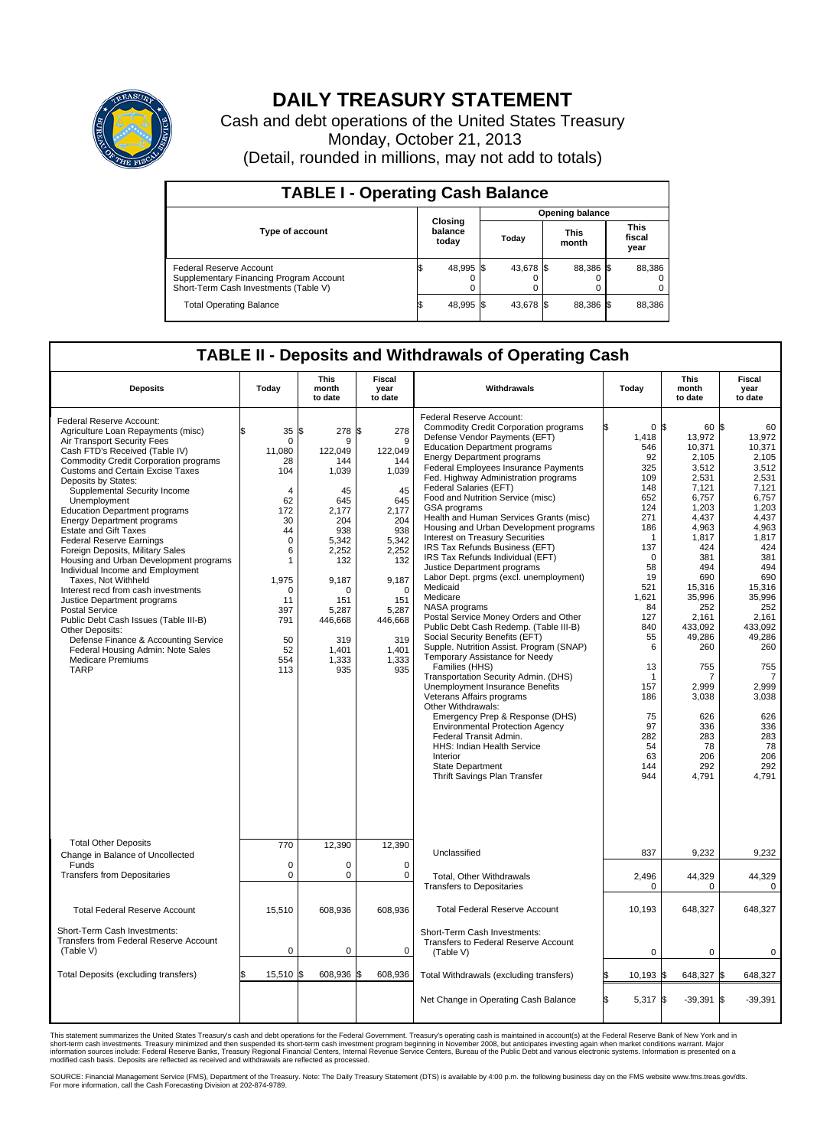

## **DAILY TREASURY STATEMENT**

Cash and debt operations of the United States Treasury Monday, October 21, 2013 (Detail, rounded in millions, may not add to totals)

| <b>TABLE I - Operating Cash Balance</b>                                                                     |  |                             |  |                        |  |                      |  |                               |  |  |
|-------------------------------------------------------------------------------------------------------------|--|-----------------------------|--|------------------------|--|----------------------|--|-------------------------------|--|--|
|                                                                                                             |  |                             |  | <b>Opening balance</b> |  |                      |  |                               |  |  |
| <b>Type of account</b>                                                                                      |  | Closing<br>balance<br>today |  | Today                  |  | <b>This</b><br>month |  | <b>This</b><br>fiscal<br>year |  |  |
| Federal Reserve Account<br>Supplementary Financing Program Account<br>Short-Term Cash Investments (Table V) |  | 48,995                      |  | 43,678 \$              |  | 88,386 \$            |  | 88,386                        |  |  |
| <b>Total Operating Balance</b>                                                                              |  | 48,995 \$                   |  | 43,678 \$              |  | 88,386 \$            |  | 88,386                        |  |  |

## **TABLE II - Deposits and Withdrawals of Operating Cash**

| <b>Deposits</b>                                                                                                                                                                                                                                                                                                                                                                                                                                                                                                                                                                                                                                                                                                                                                                                                                                                        | Today                                                                                                                                                                                 | This<br>month<br>to date                                                                                                                                                               | <b>Fiscal</b><br>year<br>to date                                                                                                                                                       | Withdrawals                                                                                                                                                                                                                                                                                                                                                                                                                                                                                                                                                                                                                                                                                                                                                                                                                                                                                                                                                                                                                                                                                                                                                                                                                                        | Today                                                                                                                                                                                                                                               | <b>This</b><br>month<br>to date                                                                                                                                                                                                                                                        | <b>Fiscal</b><br>year<br>to date                                                                                                                                                                                                                                                    |
|------------------------------------------------------------------------------------------------------------------------------------------------------------------------------------------------------------------------------------------------------------------------------------------------------------------------------------------------------------------------------------------------------------------------------------------------------------------------------------------------------------------------------------------------------------------------------------------------------------------------------------------------------------------------------------------------------------------------------------------------------------------------------------------------------------------------------------------------------------------------|---------------------------------------------------------------------------------------------------------------------------------------------------------------------------------------|----------------------------------------------------------------------------------------------------------------------------------------------------------------------------------------|----------------------------------------------------------------------------------------------------------------------------------------------------------------------------------------|----------------------------------------------------------------------------------------------------------------------------------------------------------------------------------------------------------------------------------------------------------------------------------------------------------------------------------------------------------------------------------------------------------------------------------------------------------------------------------------------------------------------------------------------------------------------------------------------------------------------------------------------------------------------------------------------------------------------------------------------------------------------------------------------------------------------------------------------------------------------------------------------------------------------------------------------------------------------------------------------------------------------------------------------------------------------------------------------------------------------------------------------------------------------------------------------------------------------------------------------------|-----------------------------------------------------------------------------------------------------------------------------------------------------------------------------------------------------------------------------------------------------|----------------------------------------------------------------------------------------------------------------------------------------------------------------------------------------------------------------------------------------------------------------------------------------|-------------------------------------------------------------------------------------------------------------------------------------------------------------------------------------------------------------------------------------------------------------------------------------|
| Federal Reserve Account:<br>Agriculture Loan Repayments (misc)<br>Air Transport Security Fees<br>Cash FTD's Received (Table IV)<br><b>Commodity Credit Corporation programs</b><br>Customs and Certain Excise Taxes<br>Deposits by States:<br>Supplemental Security Income<br>Unemployment<br><b>Education Department programs</b><br><b>Energy Department programs</b><br><b>Estate and Gift Taxes</b><br><b>Federal Reserve Earnings</b><br>Foreign Deposits, Military Sales<br>Housing and Urban Development programs<br>Individual Income and Employment<br>Taxes, Not Withheld<br>Interest recd from cash investments<br>Justice Department programs<br><b>Postal Service</b><br>Public Debt Cash Issues (Table III-B)<br>Other Deposits:<br>Defense Finance & Accounting Service<br>Federal Housing Admin: Note Sales<br><b>Medicare Premiums</b><br><b>TARP</b> | 35<br>\$<br>$\mathbf 0$<br>11,080<br>28<br>104<br>$\overline{4}$<br>62<br>172<br>30<br>44<br>$\mathbf 0$<br>6<br>1<br>1,975<br>$\Omega$<br>11<br>397<br>791<br>50<br>52<br>554<br>113 | \$<br>278<br>9<br>122,049<br>144<br>1,039<br>45<br>645<br>2,177<br>204<br>938<br>5,342<br>2,252<br>132<br>9,187<br>$\Omega$<br>151<br>5,287<br>446,668<br>319<br>1,401<br>1,333<br>935 | \$<br>278<br>9<br>122,049<br>144<br>1,039<br>45<br>645<br>2,177<br>204<br>938<br>5,342<br>2,252<br>132<br>9,187<br>$\Omega$<br>151<br>5,287<br>446,668<br>319<br>1,401<br>1.333<br>935 | Federal Reserve Account:<br><b>Commodity Credit Corporation programs</b><br>Defense Vendor Payments (EFT)<br><b>Education Department programs</b><br><b>Energy Department programs</b><br><b>Federal Employees Insurance Payments</b><br>Fed. Highway Administration programs<br>Federal Salaries (EFT)<br>Food and Nutrition Service (misc)<br>GSA programs<br>Health and Human Services Grants (misc)<br>Housing and Urban Development programs<br>Interest on Treasury Securities<br>IRS Tax Refunds Business (EFT)<br>IRS Tax Refunds Individual (EFT)<br>Justice Department programs<br>Labor Dept. prgms (excl. unemployment)<br>Medicaid<br>Medicare<br>NASA programs<br>Postal Service Money Orders and Other<br>Public Debt Cash Redemp. (Table III-B)<br>Social Security Benefits (EFT)<br>Supple. Nutrition Assist. Program (SNAP)<br>Temporary Assistance for Needy<br>Families (HHS)<br>Transportation Security Admin. (DHS)<br>Unemployment Insurance Benefits<br>Veterans Affairs programs<br>Other Withdrawals:<br>Emergency Prep & Response (DHS)<br><b>Environmental Protection Agency</b><br>Federal Transit Admin.<br><b>HHS: Indian Health Service</b><br>Interior<br><b>State Department</b><br>Thrift Savings Plan Transfer | 0 <sup>8</sup><br>1,418<br>546<br>92<br>325<br>109<br>148<br>652<br>124<br>271<br>186<br>$\mathbf{1}$<br>137<br>0<br>58<br>19<br>521<br>1,621<br>84<br>127<br>840<br>55<br>6<br>13<br>-1<br>157<br>186<br>75<br>97<br>282<br>54<br>63<br>144<br>944 | 60 \$<br>13,972<br>10,371<br>2,105<br>3.512<br>2,531<br>7,121<br>6,757<br>1,203<br>4,437<br>4,963<br>1,817<br>424<br>381<br>494<br>690<br>15,316<br>35,996<br>252<br>2,161<br>433.092<br>49,286<br>260<br>755<br>7<br>2,999<br>3,038<br>626<br>336<br>283<br>78<br>206<br>292<br>4,791 | 60<br>13,972<br>10,371<br>2,105<br>3,512<br>2,531<br>7.121<br>6,757<br>1,203<br>4,437<br>4,963<br>1,817<br>424<br>381<br>494<br>690<br>15,316<br>35,996<br>252<br>2,161<br>433.092<br>49,286<br>260<br>755<br>7<br>2,999<br>3,038<br>626<br>336<br>283<br>78<br>206<br>292<br>4.791 |
| <b>Total Other Deposits</b><br>Change in Balance of Uncollected                                                                                                                                                                                                                                                                                                                                                                                                                                                                                                                                                                                                                                                                                                                                                                                                        | 770                                                                                                                                                                                   | 12,390                                                                                                                                                                                 | 12,390                                                                                                                                                                                 | Unclassified                                                                                                                                                                                                                                                                                                                                                                                                                                                                                                                                                                                                                                                                                                                                                                                                                                                                                                                                                                                                                                                                                                                                                                                                                                       | 837                                                                                                                                                                                                                                                 | 9,232                                                                                                                                                                                                                                                                                  | 9,232                                                                                                                                                                                                                                                                               |
| Funds<br><b>Transfers from Depositaries</b>                                                                                                                                                                                                                                                                                                                                                                                                                                                                                                                                                                                                                                                                                                                                                                                                                            | $\mathbf 0$<br>$\pmb{0}$                                                                                                                                                              | 0<br>0                                                                                                                                                                                 | 0<br>$\mathbf 0$                                                                                                                                                                       | Total, Other Withdrawals<br><b>Transfers to Depositaries</b>                                                                                                                                                                                                                                                                                                                                                                                                                                                                                                                                                                                                                                                                                                                                                                                                                                                                                                                                                                                                                                                                                                                                                                                       | 2,496<br>0                                                                                                                                                                                                                                          | 44,329<br>$\Omega$                                                                                                                                                                                                                                                                     | 44,329<br>0                                                                                                                                                                                                                                                                         |
| <b>Total Federal Reserve Account</b>                                                                                                                                                                                                                                                                                                                                                                                                                                                                                                                                                                                                                                                                                                                                                                                                                                   | 15,510                                                                                                                                                                                | 608,936                                                                                                                                                                                | 608,936                                                                                                                                                                                | <b>Total Federal Reserve Account</b>                                                                                                                                                                                                                                                                                                                                                                                                                                                                                                                                                                                                                                                                                                                                                                                                                                                                                                                                                                                                                                                                                                                                                                                                               | 10.193                                                                                                                                                                                                                                              | 648,327                                                                                                                                                                                                                                                                                | 648.327                                                                                                                                                                                                                                                                             |
| Short-Term Cash Investments:<br>Transfers from Federal Reserve Account<br>(Table V)                                                                                                                                                                                                                                                                                                                                                                                                                                                                                                                                                                                                                                                                                                                                                                                    | $\pmb{0}$                                                                                                                                                                             | 0                                                                                                                                                                                      | 0                                                                                                                                                                                      | Short-Term Cash Investments:<br>Transfers to Federal Reserve Account<br>(Table V)                                                                                                                                                                                                                                                                                                                                                                                                                                                                                                                                                                                                                                                                                                                                                                                                                                                                                                                                                                                                                                                                                                                                                                  | $\mathbf 0$                                                                                                                                                                                                                                         | 0                                                                                                                                                                                                                                                                                      | 0                                                                                                                                                                                                                                                                                   |
| Total Deposits (excluding transfers)                                                                                                                                                                                                                                                                                                                                                                                                                                                                                                                                                                                                                                                                                                                                                                                                                                   | 15,510                                                                                                                                                                                | 608,936<br>l\$                                                                                                                                                                         | S.<br>608,936                                                                                                                                                                          | Total Withdrawals (excluding transfers)                                                                                                                                                                                                                                                                                                                                                                                                                                                                                                                                                                                                                                                                                                                                                                                                                                                                                                                                                                                                                                                                                                                                                                                                            | $10,193$ \$                                                                                                                                                                                                                                         | 648,327 \$                                                                                                                                                                                                                                                                             | 648,327                                                                                                                                                                                                                                                                             |
|                                                                                                                                                                                                                                                                                                                                                                                                                                                                                                                                                                                                                                                                                                                                                                                                                                                                        |                                                                                                                                                                                       |                                                                                                                                                                                        |                                                                                                                                                                                        | Net Change in Operating Cash Balance                                                                                                                                                                                                                                                                                                                                                                                                                                                                                                                                                                                                                                                                                                                                                                                                                                                                                                                                                                                                                                                                                                                                                                                                               | l\$<br>5,317 \$                                                                                                                                                                                                                                     | $-39,391$                                                                                                                                                                                                                                                                              | l\$<br>$-39,391$                                                                                                                                                                                                                                                                    |

This statement summarizes the United States Treasury's cash and debt operations for the Federal Government. Treasury's operating cash is maintained in account(s) at the Federal Reserve Bank of New York and in<br>short-term ca

SOURCE: Financial Management Service (FMS), Department of the Treasury. Note: The Daily Treasury Statement (DTS) is available by 4:00 p.m. the following business day on the FMS website www.fms.treas.gov/dts.<br>For more infor